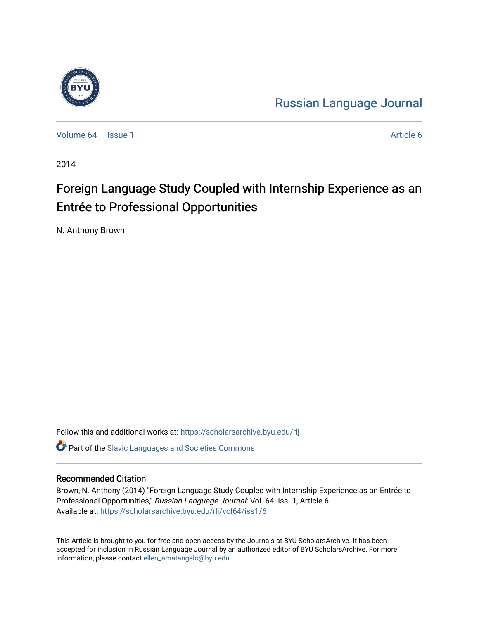

[Russian Language Journal](https://scholarsarchive.byu.edu/rlj) 

[Volume 64](https://scholarsarchive.byu.edu/rlj/vol64) | [Issue 1](https://scholarsarchive.byu.edu/rlj/vol64/iss1) Article 6

2014

# Foreign Language Study Coupled with Internship Experience as an Entrée to Professional Opportunities

N. Anthony Brown

Follow this and additional works at: [https://scholarsarchive.byu.edu/rlj](https://scholarsarchive.byu.edu/rlj?utm_source=scholarsarchive.byu.edu%2Frlj%2Fvol64%2Fiss1%2F6&utm_medium=PDF&utm_campaign=PDFCoverPages)

**C** Part of the Slavic Languages and Societies Commons

#### Recommended Citation

Brown, N. Anthony (2014) "Foreign Language Study Coupled with Internship Experience as an Entrée to Professional Opportunities," Russian Language Journal: Vol. 64: Iss. 1, Article 6. Available at: [https://scholarsarchive.byu.edu/rlj/vol64/iss1/6](https://scholarsarchive.byu.edu/rlj/vol64/iss1/6?utm_source=scholarsarchive.byu.edu%2Frlj%2Fvol64%2Fiss1%2F6&utm_medium=PDF&utm_campaign=PDFCoverPages) 

This Article is brought to you for free and open access by the Journals at BYU ScholarsArchive. It has been accepted for inclusion in Russian Language Journal by an authorized editor of BYU ScholarsArchive. For more information, please contact [ellen\\_amatangelo@byu.edu.](mailto:ellen_amatangelo@byu.edu)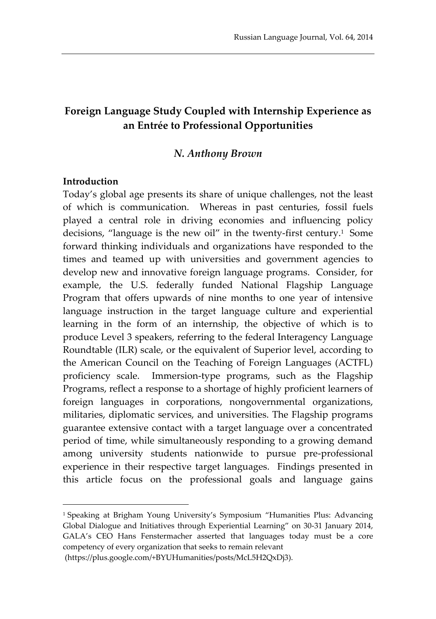# **Foreign Language Study Coupled with Internship Experience as an Entrée to Professional Opportunities**

#### *N. Anthony Brown*

#### **Introduction**

 $\overline{a}$ 

Today's global age presents its share of unique challenges, not the least of which is communication. Whereas in past centuries, fossil fuels played a central role in driving economies and influencing policy decisions, "language is the new oil" in the twenty-first century. 1 Some forward thinking individuals and organizations have responded to the times and teamed up with universities and government agencies to develop new and innovative foreign language programs. Consider, for example, the U.S. federally funded National Flagship Language Program that offers upwards of nine months to one year of intensive language instruction in the target language culture and experiential learning in the form of an internship, the objective of which is to produce Level 3 speakers, referring to the federal Interagency Language Roundtable (ILR) scale, or the equivalent of Superior level, according to the American Council on the Teaching of Foreign Languages (ACTFL) proficiency scale. Immersion-type programs, such as the Flagship Programs, reflect a response to a shortage of highly proficient learners of foreign languages in corporations, nongovernmental organizations, militaries, diplomatic services, and universities. The Flagship programs guarantee extensive contact with a target language over a concentrated period of time, while simultaneously responding to a growing demand among university students nationwide to pursue pre-professional experience in their respective target languages. Findings presented in this article focus on the professional goals and language gains

<sup>1</sup> Speaking at Brigham Young University's Symposium "Humanities Plus: Advancing Global Dialogue and Initiatives through Experiential Learning" on 30-31 January 2014, GALA's CEO Hans Fenstermacher asserted that languages today must be a core competency of every organization that seeks to remain relevant

<sup>(</sup>https://plus.google.com/+BYUHumanities/posts/McL5H2QxDj3).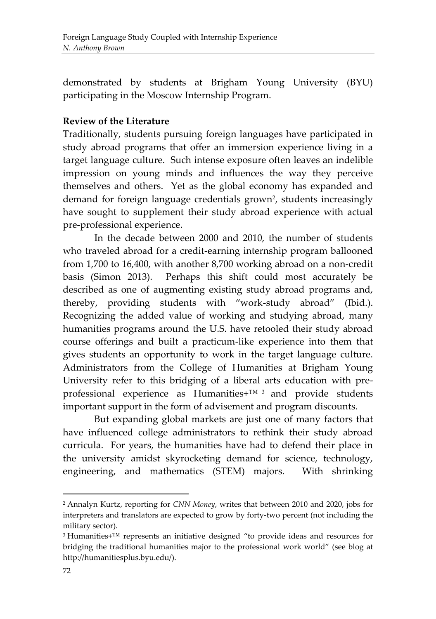demonstrated by students at Brigham Young University (BYU) participating in the Moscow Internship Program.

## **Review of the Literature**

Traditionally, students pursuing foreign languages have participated in study abroad programs that offer an immersion experience living in a target language culture. Such intense exposure often leaves an indelible impression on young minds and influences the way they perceive themselves and others. Yet as the global economy has expanded and demand for foreign language credentials grown<sup>2</sup>, students increasingly have sought to supplement their study abroad experience with actual pre-professional experience.

In the decade between 2000 and 2010, the number of students who traveled abroad for a credit-earning internship program ballooned from 1,700 to 16,400, with another 8,700 working abroad on a non-credit basis (Simon 2013). Perhaps this shift could most accurately be described as one of augmenting existing study abroad programs and, thereby, providing students with "work-study abroad" (Ibid.). Recognizing the added value of working and studying abroad, many humanities programs around the U.S. have retooled their study abroad course offerings and built a practicum-like experience into them that gives students an opportunity to work in the target language culture. Administrators from the College of Humanities at Brigham Young University refer to this bridging of a liberal arts education with preprofessional experience as Humanities+™ <sup>3</sup> and provide students important support in the form of advisement and program discounts.

But expanding global markets are just one of many factors that have influenced college administrators to rethink their study abroad curricula. For years, the humanities have had to defend their place in the university amidst skyrocketing demand for science, technology, engineering, and mathematics (STEM) majors. With shrinking

<sup>2</sup> Annalyn Kurtz, reporting for *CNN Money*, writes that between 2010 and 2020, jobs for interpreters and translators are expected to grow by forty-two percent (not including the military sector).

<sup>3</sup> Humanities+™ represents an initiative designed "to provide ideas and resources for bridging the traditional humanities major to the professional work world" (see blog at http://humanitiesplus.byu.edu/).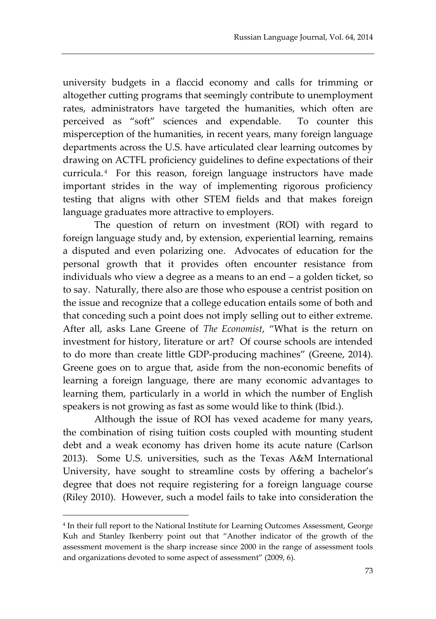university budgets in a flaccid economy and calls for trimming or altogether cutting programs that seemingly contribute to unemployment rates, administrators have targeted the humanities, which often are perceived as "soft" sciences and expendable. To counter this misperception of the humanities, in recent years, many foreign language departments across the U.S. have articulated clear learning outcomes by drawing on ACTFL proficiency guidelines to define expectations of their curricula. <sup>4</sup> For this reason, foreign language instructors have made important strides in the way of implementing rigorous proficiency testing that aligns with other STEM fields and that makes foreign language graduates more attractive to employers.

The question of return on investment (ROI) with regard to foreign language study and, by extension, experiential learning, remains a disputed and even polarizing one. Advocates of education for the personal growth that it provides often encounter resistance from individuals who view a degree as a means to an end – a golden ticket, so to say. Naturally, there also are those who espouse a centrist position on the issue and recognize that a college education entails some of both and that conceding such a point does not imply selling out to either extreme. After all, asks Lane Greene of *The Economist*, "What is the return on investment for history, literature or art? Of course schools are intended to do more than create little GDP-producing machines" (Greene, 2014). Greene goes on to argue that, aside from the non-economic benefits of learning a foreign language, there are many economic advantages to learning them, particularly in a world in which the number of English speakers is not growing as fast as some would like to think (Ibid.).

Although the issue of ROI has vexed academe for many years, the combination of rising tuition costs coupled with mounting student debt and a weak economy has driven home its acute nature (Carlson 2013). Some U.S. universities, such as the Texas A&M International University, have sought to streamline costs by offering a bachelor's degree that does not require registering for a foreign language course (Riley 2010). However, such a model fails to take into consideration the

<sup>4</sup> In their full report to the National Institute for Learning Outcomes Assessment, George Kuh and Stanley Ikenberry point out that "Another indicator of the growth of the assessment movement is the sharp increase since 2000 in the range of assessment tools and organizations devoted to some aspect of assessment" (2009, 6).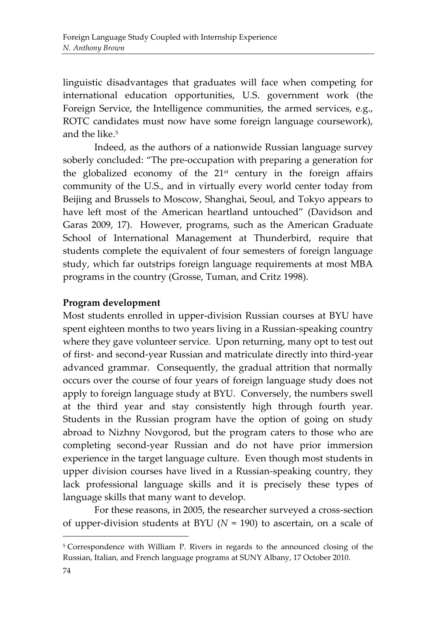linguistic disadvantages that graduates will face when competing for international education opportunities, U.S. government work (the Foreign Service, the Intelligence communities, the armed services, e.g., ROTC candidates must now have some foreign language coursework), and the like  $5$ 

Indeed, as the authors of a nationwide Russian language survey soberly concluded: "The pre-occupation with preparing a generation for the globalized economy of the  $21<sup>st</sup>$  century in the foreign affairs community of the U.S., and in virtually every world center today from Beijing and Brussels to Moscow, Shanghai, Seoul, and Tokyo appears to have left most of the American heartland untouched" (Davidson and Garas 2009, 17). However, programs, such as the American Graduate School of International Management at Thunderbird, require that students complete the equivalent of four semesters of foreign language study, which far outstrips foreign language requirements at most MBA programs in the country (Grosse, Tuman, and Critz 1998).

## **Program development**

Most students enrolled in upper-division Russian courses at BYU have spent eighteen months to two years living in a Russian-speaking country where they gave volunteer service. Upon returning, many opt to test out of first- and second-year Russian and matriculate directly into third-year advanced grammar. Consequently, the gradual attrition that normally occurs over the course of four years of foreign language study does not apply to foreign language study at BYU. Conversely, the numbers swell at the third year and stay consistently high through fourth year. Students in the Russian program have the option of going on study abroad to Nizhny Novgorod, but the program caters to those who are completing second-year Russian and do not have prior immersion experience in the target language culture. Even though most students in upper division courses have lived in a Russian-speaking country, they lack professional language skills and it is precisely these types of language skills that many want to develop.

For these reasons, in 2005, the researcher surveyed a cross-section of upper-division students at BYU (*N* = 190) to ascertain, on a scale of

<sup>5</sup> Correspondence with William P. Rivers in regards to the announced closing of the Russian, Italian, and French language programs at SUNY Albany, 17 October 2010.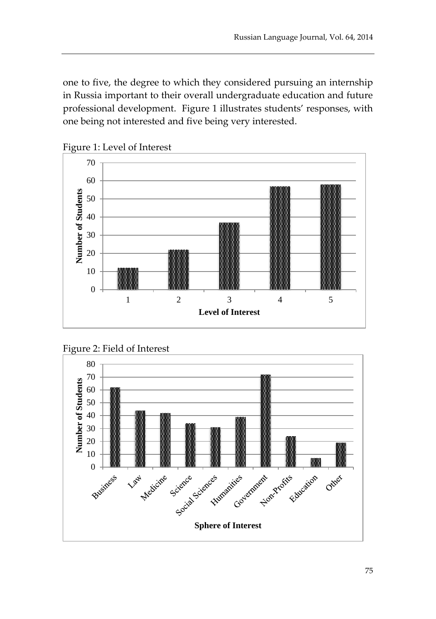one to five, the degree to which they considered pursuing an internship in Russia important to their overall undergraduate education and future professional development. Figure 1 illustrates students' responses, with one being not interested and five being very interested.



Figure 1: Level of Interest



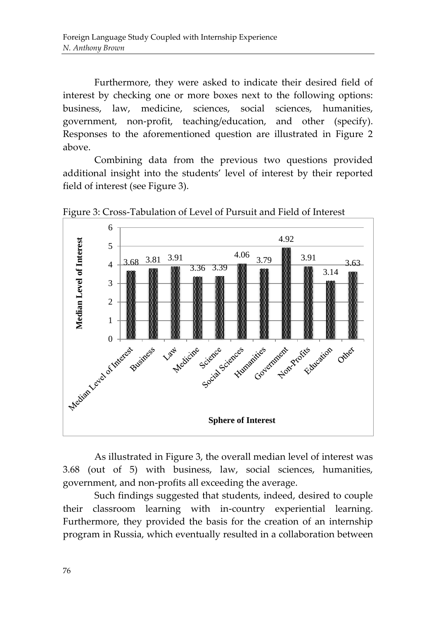Furthermore, they were asked to indicate their desired field of interest by checking one or more boxes next to the following options: business, law, medicine, sciences, social sciences, humanities, government, non-profit, teaching/education, and other (specify). Responses to the aforementioned question are illustrated in Figure 2 above.

Combining data from the previous two questions provided additional insight into the students' level of interest by their reported field of interest (see Figure 3).



Figure 3: Cross-Tabulation of Level of Pursuit and Field of Interest

As illustrated in Figure 3, the overall median level of interest was 3.68 (out of 5) with business, law, social sciences, humanities, government, and non-profits all exceeding the average.

Such findings suggested that students, indeed, desired to couple their classroom learning with in-country experiential learning. Furthermore, they provided the basis for the creation of an internship program in Russia, which eventually resulted in a collaboration between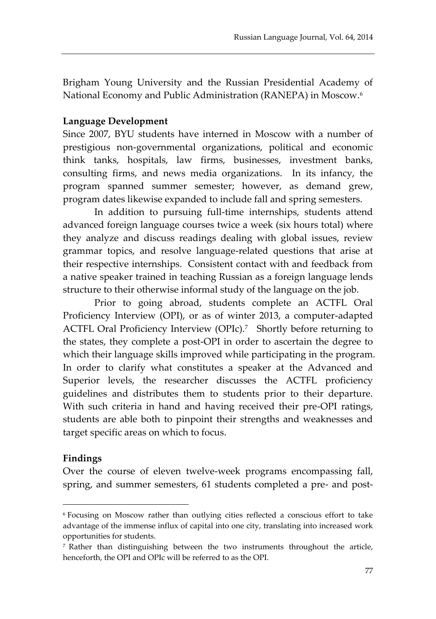Brigham Young University and the Russian Presidential Academy of National Economy and Public Administration (RANEPA) in Moscow.<sup>6</sup>

#### **Language Development**

Since 2007, BYU students have interned in Moscow with a number of prestigious non-governmental organizations, political and economic think tanks, hospitals, law firms, businesses, investment banks, consulting firms, and news media organizations. In its infancy, the program spanned summer semester; however, as demand grew, program dates likewise expanded to include fall and spring semesters.

In addition to pursuing full-time internships, students attend advanced foreign language courses twice a week (six hours total) where they analyze and discuss readings dealing with global issues, review grammar topics, and resolve language-related questions that arise at their respective internships. Consistent contact with and feedback from a native speaker trained in teaching Russian as a foreign language lends structure to their otherwise informal study of the language on the job.

Prior to going abroad, students complete an ACTFL Oral Proficiency Interview (OPI), or as of winter 2013, a computer-adapted ACTFL Oral Proficiency Interview (OPIc).<sup>7</sup> Shortly before returning to the states, they complete a post-OPI in order to ascertain the degree to which their language skills improved while participating in the program. In order to clarify what constitutes a speaker at the Advanced and Superior levels, the researcher discusses the ACTFL proficiency guidelines and distributes them to students prior to their departure. With such criteria in hand and having received their pre-OPI ratings, students are able both to pinpoint their strengths and weaknesses and target specific areas on which to focus.

#### **Findings**

 $\overline{a}$ 

Over the course of eleven twelve-week programs encompassing fall, spring, and summer semesters, 61 students completed a pre- and post-

<sup>6</sup> Focusing on Moscow rather than outlying cities reflected a conscious effort to take advantage of the immense influx of capital into one city, translating into increased work opportunities for students.

<sup>7</sup> Rather than distinguishing between the two instruments throughout the article, henceforth, the OPI and OPIc will be referred to as the OPI.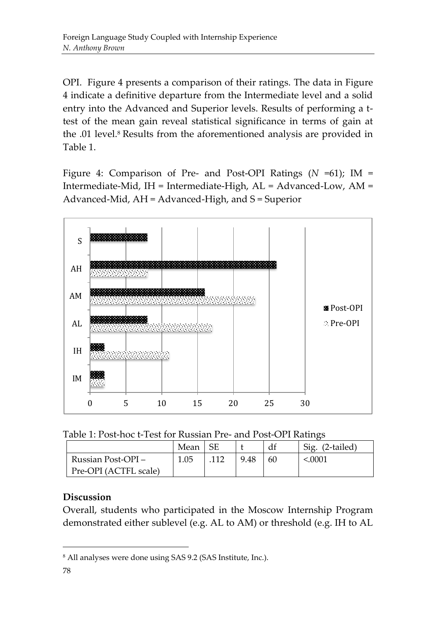OPI. Figure 4 presents a comparison of their ratings. The data in Figure 4 indicate a definitive departure from the Intermediate level and a solid entry into the Advanced and Superior levels. Results of performing a ttest of the mean gain reveal statistical significance in terms of gain at the .01 level.<sup>8</sup> Results from the aforementioned analysis are provided in Table 1.

Figure 4: Comparison of Pre- and Post-OPI Ratings (*N* =61); IM = Intermediate-Mid, IH = Intermediate-High, AL = Advanced-Low, AM = Advanced-Mid, AH = Advanced-High, and S = Superior



Table 1: Post-hoc t-Test for Russian Pre- and Post-OPI Ratings

|                       | Mean |      | df | Sig.<br>(2-tailed) |
|-----------------------|------|------|----|--------------------|
| Russian Post-OPI-     | 1.05 | 9.48 | 60 | < 0.0001           |
| Pre-OPI (ACTFL scale) |      |      |    |                    |

# **Discussion**

Overall, students who participated in the Moscow Internship Program demonstrated either sublevel (e.g. AL to AM) or threshold (e.g. IH to AL

<sup>8</sup> All analyses were done using SAS 9.2 (SAS Institute, Inc.).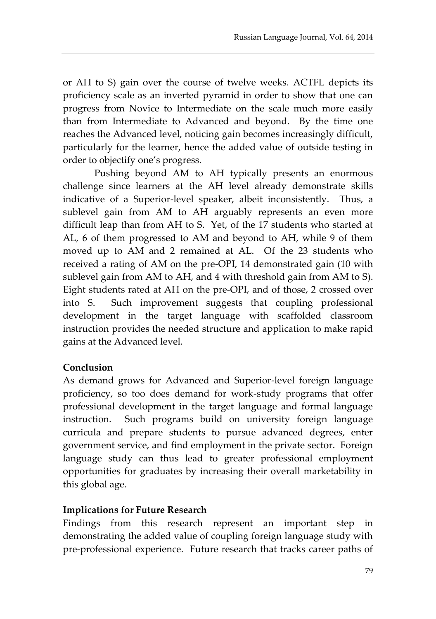or AH to S) gain over the course of twelve weeks. ACTFL depicts its proficiency scale as an inverted pyramid in order to show that one can progress from Novice to Intermediate on the scale much more easily than from Intermediate to Advanced and beyond. By the time one reaches the Advanced level, noticing gain becomes increasingly difficult, particularly for the learner, hence the added value of outside testing in order to objectify one's progress.

Pushing beyond AM to AH typically presents an enormous challenge since learners at the AH level already demonstrate skills indicative of a Superior-level speaker, albeit inconsistently. Thus, a sublevel gain from AM to AH arguably represents an even more difficult leap than from AH to S. Yet, of the 17 students who started at AL, 6 of them progressed to AM and beyond to AH, while 9 of them moved up to AM and 2 remained at AL. Of the 23 students who received a rating of AM on the pre-OPI, 14 demonstrated gain (10 with sublevel gain from AM to AH, and 4 with threshold gain from AM to S). Eight students rated at AH on the pre-OPI, and of those, 2 crossed over into S. Such improvement suggests that coupling professional development in the target language with scaffolded classroom instruction provides the needed structure and application to make rapid gains at the Advanced level.

## **Conclusion**

As demand grows for Advanced and Superior-level foreign language proficiency, so too does demand for work-study programs that offer professional development in the target language and formal language instruction. Such programs build on university foreign language curricula and prepare students to pursue advanced degrees, enter government service, and find employment in the private sector. Foreign language study can thus lead to greater professional employment opportunities for graduates by increasing their overall marketability in this global age.

### **Implications for Future Research**

Findings from this research represent an important step in demonstrating the added value of coupling foreign language study with pre-professional experience. Future research that tracks career paths of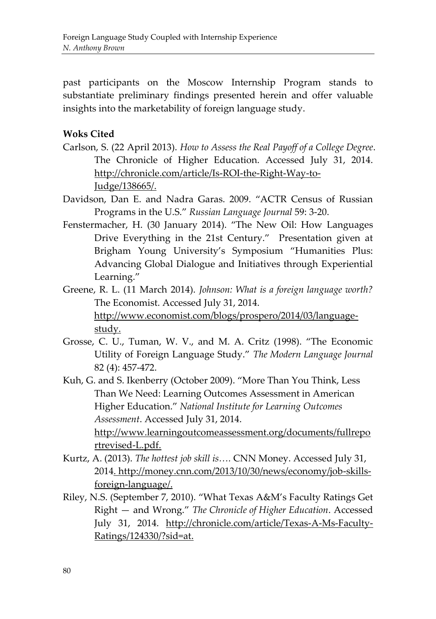past participants on the Moscow Internship Program stands to substantiate preliminary findings presented herein and offer valuable insights into the marketability of foreign language study.

## **Woks Cited**

- Carlson, S. (22 April 2013). *How to Assess the Real Payoff of a College Degree*. The Chronicle of Higher Education. Accessed July 31, 2014. http://chronicle.com/article/Is-ROI-the-Right-Way-to-Judge/138665/.
- Davidson, Dan E. and Nadra Garas. 2009. "ACTR Census of Russian Programs in the U.S." *Russian Language Journal* 59: 3-20.
- Fenstermacher, H. (30 January 2014). "The New Oil: How Languages Drive Everything in the 21st Century." Presentation given at Brigham Young University's Symposium "Humanities Plus: Advancing Global Dialogue and Initiatives through Experiential Learning."
- Greene, R. L. (11 March 2014). *Johnson: What is a foreign language worth?* The Economist. Accessed July 31, 2014. http://www.economist.com/blogs/prospero/2014/03/languagestudy.
- Grosse, C. U., Tuman, W. V., and M. A. Critz (1998). "The Economic Utility of Foreign Language Study." *The Modern Language Journal*  82 (4): 457-472.
- Kuh, G. and S. Ikenberry (October 2009). "More Than You Think, Less Than We Need: Learning Outcomes Assessment in American Higher Education." *National Institute for Learning Outcomes Assessment*. Accessed July 31, 2014. http://www.learningoutcomeassessment.org/documents/fullrepo rtrevised-L.pdf.
- Kurtz, A. (2013). *The hottest job skill is….* CNN Money. Accessed July 31, 2014. http://money.cnn.com/2013/10/30/news/economy/job-skillsforeign-language/.
- Riley, N.S. (September 7, 2010). "What Texas A&M's Faculty Ratings Get Right — and Wrong." *The Chronicle of Higher Education*. Accessed July 31, 2014. http://chronicle.com/article/Texas-A-Ms-Faculty-Ratings/124330/?sid=at.